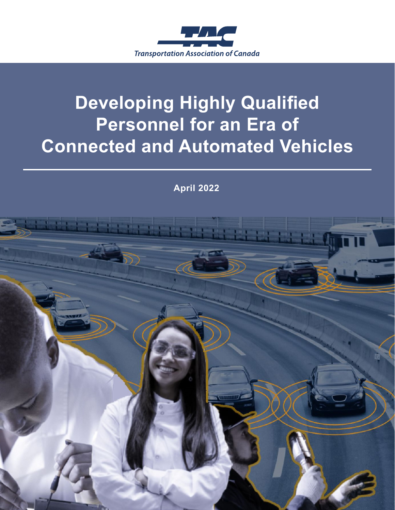

# **Developing Highly Qualified Personnel for an Era of Connected and Automated Vehicles**

**April 2022**

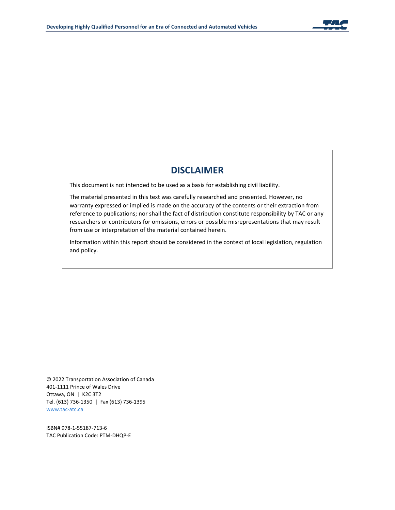

#### **DISCLAIMER**

This document is not intended to be used as a basis for establishing civil liability.

The material presented in this text was carefully researched and presented. However, no warranty expressed or implied is made on the accuracy of the contents or their extraction from reference to publications; nor shall the fact of distribution constitute responsibility by TAC or any researchers or contributors for omissions, errors or possible misrepresentations that may result from use or interpretation of the material contained herein.

Information within this report should be considered in the context of local legislation, regulation and policy.

© 2022 Transportation Association of Canada 401-1111 Prince of Wales Drive Ottawa, ON | K2C 3T2 Tel. (613) 736-1350 | Fax (613) 736-1395 [www.tac-atc.ca](http://www.tac-atc.ca/)

ISBN# 978-1-55187-713-6 TAC Publication Code: PTM-DHQP-E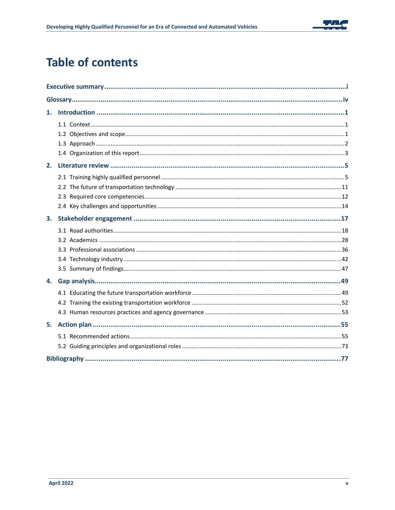

## **Table of contents**

| 2. |  |  |
|----|--|--|
|    |  |  |
|    |  |  |
|    |  |  |
|    |  |  |
| 3. |  |  |
|    |  |  |
|    |  |  |
|    |  |  |
|    |  |  |
|    |  |  |
| 4. |  |  |
|    |  |  |
|    |  |  |
|    |  |  |
| 5. |  |  |
|    |  |  |
|    |  |  |
|    |  |  |